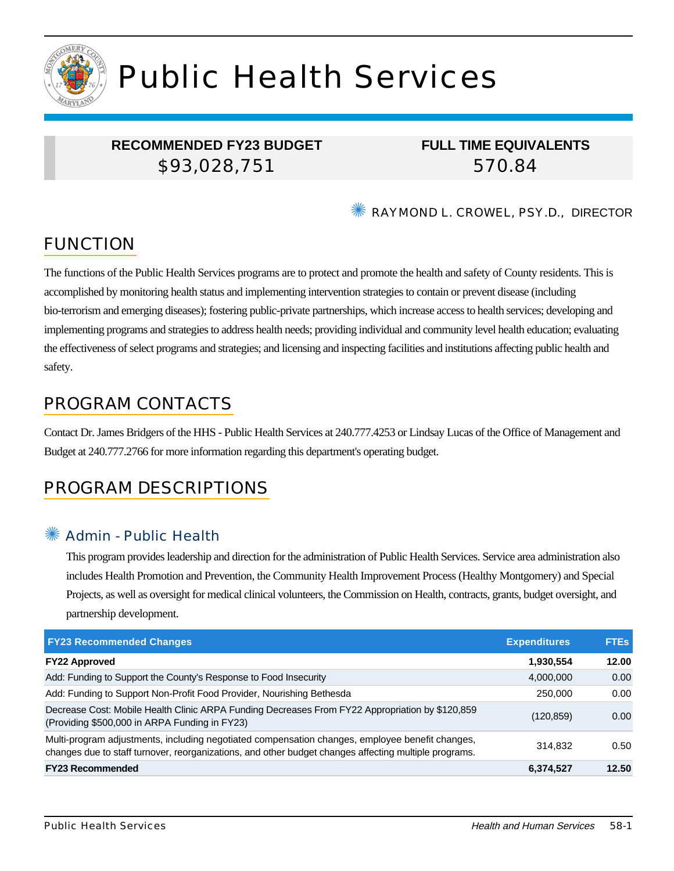

# Public Health Services

## **RECOMMENDED FY23 BUDGET** \$93,028,751

## **FULL TIME EQUIVALENTS** 570.84

✺ RAYMOND L. CROWEL, PSY.D., DIRECTOR

## FUNCTION

The functions of the Public Health Services programs are to protect and promote the health and safety of County residents. This is accomplished by monitoring health status and implementing intervention strategies to contain or prevent disease (including bio-terrorism and emerging diseases); fostering public-private partnerships, which increase access to health services; developing and implementing programs and strategies to address health needs; providing individual and community level health education; evaluating the effectiveness of select programs and strategies; and licensing and inspecting facilities and institutions affecting public health and safety.

## PROGRAM CONTACTS

Contact Dr. James Bridgers of the HHS - Public Health Services at 240.777.4253 or Lindsay Lucas of the Office of Management and Budget at 240.777.2766 for more information regarding this department's operating budget.

## PROGRAM DESCRIPTIONS

#### Admin - Public Health

This program provides leadership and direction for the administration of Public Health Services. Service area administration also includes Health Promotion and Prevention, the Community Health Improvement Process (Healthy Montgomery) and Special Projects, as well as oversight for medical clinical volunteers, the Commission on Health, contracts, grants, budget oversight, and partnership development.

| <b>FY23 Recommended Changes</b>                                                                                                                                                                          | <b>Expenditures</b> | <b>FTES</b> |
|----------------------------------------------------------------------------------------------------------------------------------------------------------------------------------------------------------|---------------------|-------------|
| <b>FY22 Approved</b>                                                                                                                                                                                     | 1,930,554           | 12.00       |
| Add: Funding to Support the County's Response to Food Insecurity                                                                                                                                         | 4,000,000           | 0.00        |
| Add: Funding to Support Non-Profit Food Provider, Nourishing Bethesda                                                                                                                                    | 250,000             | 0.00        |
| Decrease Cost: Mobile Health Clinic ARPA Funding Decreases From FY22 Appropriation by \$120,859<br>(Providing \$500,000 in ARPA Funding in FY23)                                                         | (120, 859)          | 0.00        |
| Multi-program adjustments, including negotiated compensation changes, employee benefit changes,<br>changes due to staff turnover, reorganizations, and other budget changes affecting multiple programs. | 314.832             | 0.50        |
| <b>FY23 Recommended</b>                                                                                                                                                                                  | 6,374,527           | 12.50       |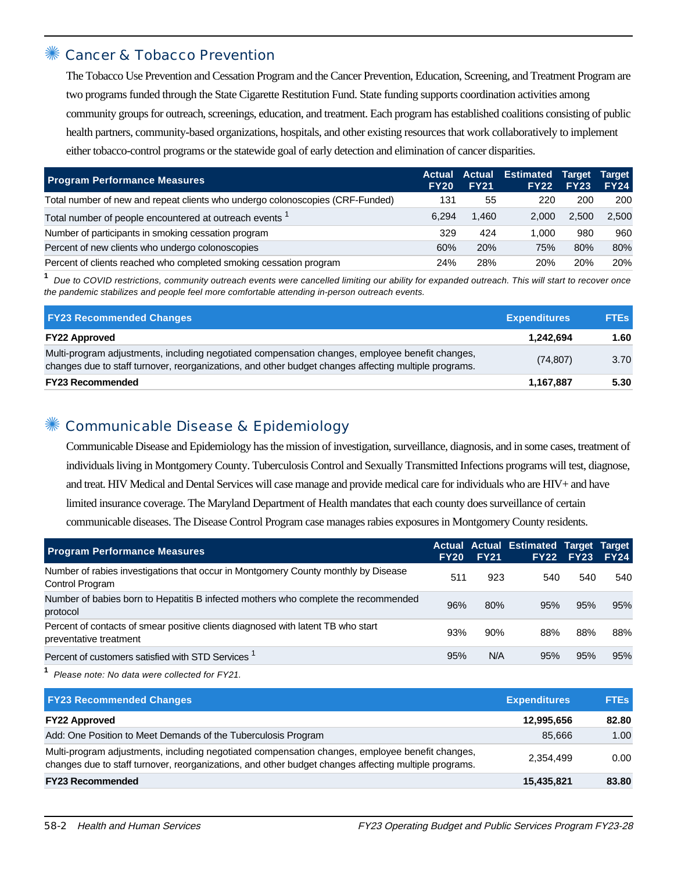#### Cancer & Tobacco Prevention

The Tobacco Use Prevention and Cessation Program and the Cancer Prevention, Education, Screening, and Treatment Program are two programs funded through the State Cigarette Restitution Fund. State funding supports coordination activities among community groups for outreach, screenings, education, and treatment. Each program has established coalitions consisting of public health partners, community-based organizations, hospitals, and other existing resources that work collaboratively to implement either tobacco-control programs or the statewide goal of early detection and elimination of cancer disparities.

| <b>Program Performance Measures</b>                                           | <b>Actual</b><br><b>FY20</b> | <b>FY21</b> | <b>Actual Estimated Target</b><br><b>FY22</b> | <b>FY23</b> | <b>Target</b><br><b>FY24</b> |
|-------------------------------------------------------------------------------|------------------------------|-------------|-----------------------------------------------|-------------|------------------------------|
| Total number of new and repeat clients who undergo colonoscopies (CRF-Funded) | 131                          | 55          | 220                                           | 200         | 200                          |
| Total number of people encountered at outreach events                         | 6.294                        | 1.460       | 2.000                                         | 2.500       | 2.500                        |
| Number of participants in smoking cessation program                           | 329                          | 424         | 1.000                                         | 980         | 960                          |
| Percent of new clients who undergo colonoscopies                              | 60%                          | 20%         | 75%                                           | 80%         | 80%                          |
| Percent of clients reached who completed smoking cessation program            | 24%                          | 28%         | 20%                                           | 20%         | 20%                          |

**1** Due to COVID restrictions, community outreach events were cancelled limiting our ability for expanded outreach. This will start to recover once the pandemic stabilizes and people feel more comfortable attending in-person outreach events.

| <b>FY23 Recommended Changes</b>                                                                                                                                                                          | <b>Expenditures</b> | <b>FTES</b> |
|----------------------------------------------------------------------------------------------------------------------------------------------------------------------------------------------------------|---------------------|-------------|
| <b>FY22 Approved</b>                                                                                                                                                                                     | 1.242.694           | 1.60        |
| Multi-program adjustments, including negotiated compensation changes, employee benefit changes,<br>changes due to staff turnover, reorganizations, and other budget changes affecting multiple programs. | (74, 807)           | 3.70        |
| <b>FY23 Recommended</b>                                                                                                                                                                                  | 1.167.887           | 5.30        |

#### Communicable Disease & Epidemiology

Communicable Disease and Epidemiology has the mission of investigation, surveillance, diagnosis, and in some cases, treatment of individuals living in Montgomery County. Tuberculosis Control and Sexually Transmitted Infections programs will test, diagnose, and treat. HIV Medical and Dental Services will case manage and provide medical care for individuals who are HIV+ and have limited insurance coverage. The Maryland Department of Health mandates that each county does surveillance of certain communicable diseases. The Disease Control Program case manages rabies exposures in Montgomery County residents.

| <b>Program Performance Measures</b>                                                                        | <b>FY20</b> | <b>FY21</b> | <b>Actual Actual Estimated Target Target</b> | <b>FY22 FY23</b> | <b>FY24</b> |
|------------------------------------------------------------------------------------------------------------|-------------|-------------|----------------------------------------------|------------------|-------------|
| Number of rabies investigations that occur in Montgomery County monthly by Disease<br>Control Program      | 511         | 923         | 540                                          | 540              | 540         |
| Number of babies born to Hepatitis B infected mothers who complete the recommended<br>protocol             | 96%         | 80%         | 95%                                          | 95%              | 95%         |
| Percent of contacts of smear positive clients diagnosed with latent TB who start<br>preventative treatment | 93%         | 90%         | 88%                                          | 88%              | 88%         |
| Percent of customers satisfied with STD Services '                                                         | 95%         | N/A         | 95%                                          | 95%              | 95%         |

**1** Please note: No data were collected for FY21.

| <b>FY23 Recommended Changes</b>                                                                                                                                                                          | <b>Expenditures</b> | <b>FTEs</b> |
|----------------------------------------------------------------------------------------------------------------------------------------------------------------------------------------------------------|---------------------|-------------|
| <b>FY22 Approved</b>                                                                                                                                                                                     | 12,995,656          | 82.80       |
| Add: One Position to Meet Demands of the Tuberculosis Program                                                                                                                                            | 85.666              | 1.00        |
| Multi-program adjustments, including negotiated compensation changes, employee benefit changes,<br>changes due to staff turnover, reorganizations, and other budget changes affecting multiple programs. | 2.354.499           | 0.00        |
| <b>FY23 Recommended</b>                                                                                                                                                                                  | 15,435,821          | 83.80       |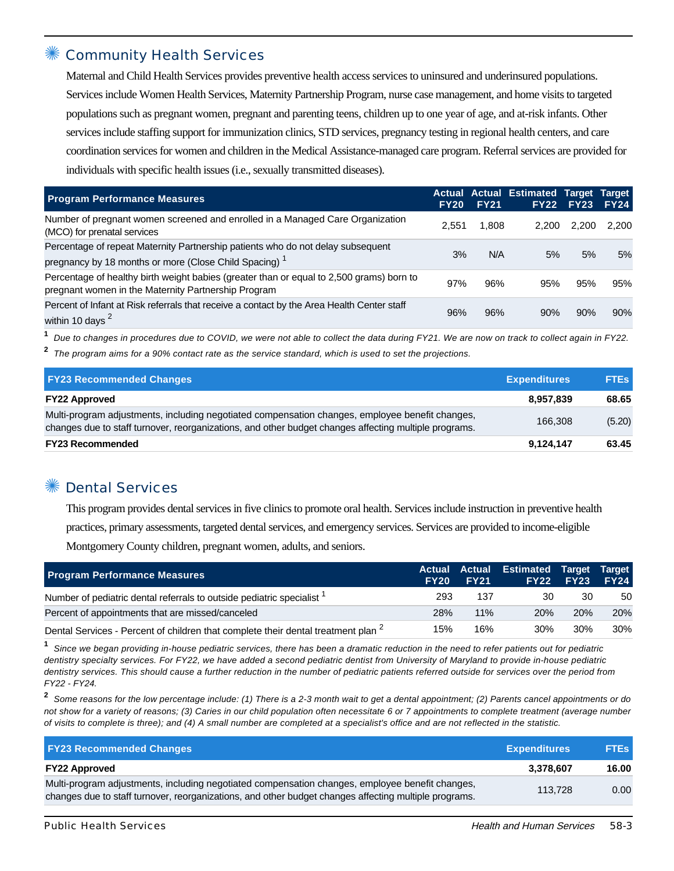#### **Community Health Services**

Maternal and Child Health Services provides preventive health access services to uninsured and underinsured populations. Services include Women Health Services, Maternity Partnership Program, nurse case management, and home visits to targeted populations such as pregnant women, pregnant and parenting teens, children up to one year of age, and at-risk infants. Other services include staffing support for immunization clinics, STD services, pregnancy testing in regional health centers, and care coordination services for women and children in the Medical Assistance-managed care program. Referral services are provided for individuals with specific health issues (i.e., sexually transmitted diseases).

| <b>Program Performance Measures</b>                                                                                                                  | <b>FY20</b> | <b>FY21</b> | <b>Actual Actual Estimated Target</b><br>FY22 | <b>FY23</b> | Target<br><b>FY24</b> |
|------------------------------------------------------------------------------------------------------------------------------------------------------|-------------|-------------|-----------------------------------------------|-------------|-----------------------|
| Number of pregnant women screened and enrolled in a Managed Care Organization<br>(MCO) for prenatal services                                         | 2.551       | 1,808       | 2.200                                         | 2.200       | 2.200                 |
| Percentage of repeat Maternity Partnership patients who do not delay subsequent<br>pregnancy by 18 months or more (Close Child Spacing) <sup>1</sup> | 3%          | N/A         | 5%                                            | 5%          | 5%                    |
| Percentage of healthy birth weight babies (greater than or equal to 2,500 grams) born to<br>pregnant women in the Maternity Partnership Program      | 97%         | 96%         | 95%                                           | 95%         | 95%                   |
| Percent of Infant at Risk referrals that receive a contact by the Area Health Center staff<br>within 10 days <sup>2</sup>                            | 96%         | 96%         | 90%                                           | 90%         | 90%                   |

**1** Due to changes in procedures due to COVID, we were not able to collect the data during FY21. We are now on track to collect again in FY22.

**2** The program aims for a 90% contact rate as the service standard, which is used to set the projections.

| <b>FY23 Recommended Changes</b>                                                                                                                                                                          | <b>Expenditures</b> | <b>FTEs</b> |
|----------------------------------------------------------------------------------------------------------------------------------------------------------------------------------------------------------|---------------------|-------------|
| <b>FY22 Approved</b>                                                                                                                                                                                     | 8,957,839           | 68.65       |
| Multi-program adjustments, including negotiated compensation changes, employee benefit changes,<br>changes due to staff turnover, reorganizations, and other budget changes affecting multiple programs. | 166.308             | (5.20)      |
| <b>FY23 Recommended</b>                                                                                                                                                                                  | 9,124,147           | 63.45       |

#### ✺ Dental Services

This program provides dental services in five clinics to promote oral health. Services include instruction in preventive health practices, primary assessments, targeted dental services, and emergency services. Services are provided to income-eligible Montgomery County children, pregnant women, adults, and seniors.

| <b>Program Performance Measures</b>                                                          | <b>FY20</b> | <b>FY21</b> | Actual Actual Estimated Target Target | <b>FY22 FY23</b> | <b>FY24</b> |
|----------------------------------------------------------------------------------------------|-------------|-------------|---------------------------------------|------------------|-------------|
| Number of pediatric dental referrals to outside pediatric specialist <sup>1</sup>            | 293         | 137         | 30                                    | 30               | 50          |
| Percent of appointments that are missed/canceled                                             | 28%         | 11%         | 20%                                   | <b>20%</b>       | 20%         |
| Dental Services - Percent of children that complete their dental treatment plan <sup>2</sup> | 15%         | 16%         | 30%                                   | 30%              | 30%         |

**1** Since we began providing in-house pediatric services, there has been a dramatic reduction in the need to refer patients out for pediatric dentistry specialty services. For FY22, we have added a second pediatric dentist from University of Maryland to provide in-house pediatric dentistry services. This should cause a further reduction in the number of pediatric patients referred outside for services over the period from FY22 - FY24.

**2** Some reasons for the low percentage include: (1) There is a 2-3 month wait to get a dental appointment; (2) Parents cancel appointments or do not show for a variety of reasons; (3) Caries in our child population often necessitate 6 or 7 appointments to complete treatment (average number of visits to complete is three); and (4) A small number are completed at a specialist's office and are not reflected in the statistic.

| <b>FY23 Recommended Changes</b>                                                                                                                                                                          | <b>Expenditures</b> | <b>FTEs</b> |
|----------------------------------------------------------------------------------------------------------------------------------------------------------------------------------------------------------|---------------------|-------------|
| <b>FY22 Approved</b>                                                                                                                                                                                     | 3.378.607           | 16.00       |
| Multi-program adjustments, including negotiated compensation changes, employee benefit changes,<br>changes due to staff turnover, reorganizations, and other budget changes affecting multiple programs. | 113.728             | 0.00        |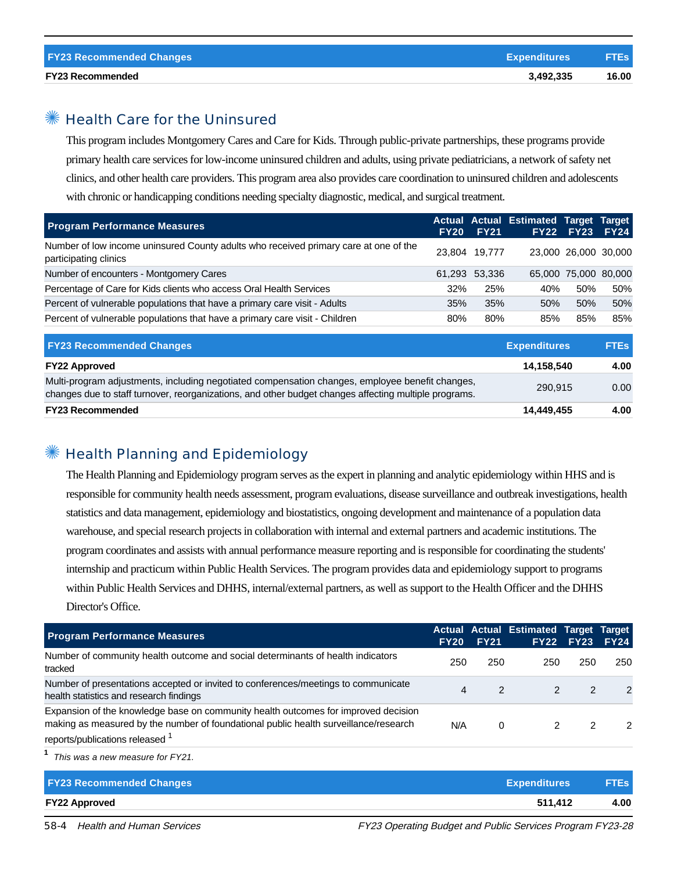#### ✺ Health Care for the Uninsured

This program includes Montgomery Cares and Care for Kids. Through public-private partnerships, these programs provide primary health care services for low-income uninsured children and adults, using private pediatricians, a network of safety net clinics, and other health care providers. This program area also provides care coordination to uninsured children and adolescents with chronic or handicapping conditions needing specialty diagnostic, medical, and surgical treatment.

| <b>Program Performance Measures</b>                                                                           | <b>FY20</b> | <b>FY21</b>   | Actual Actual Estimated Target Target | <b>FY22 FY23</b>     | <b>FY24</b> |
|---------------------------------------------------------------------------------------------------------------|-------------|---------------|---------------------------------------|----------------------|-------------|
| Number of low income uninsured County adults who received primary care at one of the<br>participating clinics |             | 23,804 19,777 |                                       | 23,000 26,000 30,000 |             |
| Number of encounters - Montgomery Cares                                                                       |             | 61.293 53.336 |                                       | 65,000 75,000 80,000 |             |
| Percentage of Care for Kids clients who access Oral Health Services                                           | 32%         | 25%           | 40%                                   | 50%                  | 50%         |
| Percent of vulnerable populations that have a primary care visit - Adults                                     | 35%         | 35%           | 50%                                   | 50%                  | 50%         |
| Percent of vulnerable populations that have a primary care visit - Children                                   | 80%         | 80%           | 85%                                   | 85%                  | 85%         |
| -----                                                                                                         |             |               | <b>CONTRACTOR</b>                     |                      |             |

| <b>FY23 Recommended Changes</b>                                                                                                                                                                          | <b>Expenditures</b> | <b>FTEs</b> |
|----------------------------------------------------------------------------------------------------------------------------------------------------------------------------------------------------------|---------------------|-------------|
| <b>FY22 Approved</b>                                                                                                                                                                                     | 14.158.540          | 4.00        |
| Multi-program adjustments, including negotiated compensation changes, employee benefit changes,<br>changes due to staff turnover, reorganizations, and other budget changes affecting multiple programs. | 290.915             | 0.00        |
| <b>FY23 Recommended</b>                                                                                                                                                                                  | 14,449,455          | 4.00        |

#### ✺ Health Planning and Epidemiology

The Health Planning and Epidemiology program serves as the expert in planning and analytic epidemiology within HHS and is responsible for community health needs assessment, program evaluations, disease surveillance and outbreak investigations, health statistics and data management, epidemiology and biostatistics, ongoing development and maintenance of a population data warehouse, and special research projects in collaboration with internal and external partners and academic institutions. The program coordinates and assists with annual performance measure reporting and is responsible for coordinating the students' internship and practicum within Public Health Services. The program provides data and epidemiology support to programs within Public Health Services and DHHS, internal/external partners, as well as support to the Health Officer and the DHHS Director's Office.

| <b>Program Performance Measures</b>                                                                                                                                                                                      | <b>FY20</b> | <b>FY21</b>   | Actual Actual Estimated Target Target | <b>FY22 FY23</b> | <b>FY24</b>   |
|--------------------------------------------------------------------------------------------------------------------------------------------------------------------------------------------------------------------------|-------------|---------------|---------------------------------------|------------------|---------------|
| Number of community health outcome and social determinants of health indicators<br>tracked                                                                                                                               | 250         | 250           | 250                                   | 250              | 250           |
| Number of presentations accepted or invited to conferences/meetings to communicate<br>health statistics and research findings                                                                                            |             | $\mathcal{P}$ |                                       |                  | $\mathcal{P}$ |
| Expansion of the knowledge base on community health outcomes for improved decision<br>making as measured by the number of foundational public health surveillance/research<br>reports/publications released <sup>1</sup> | N/A         | 0             |                                       |                  | $\mathcal{P}$ |
| This was a new measure for FY21.                                                                                                                                                                                         |             |               |                                       |                  |               |

| <b>FY23 Recommended Changes</b><br><b>Expenditures</b> | <b>FTEs</b>     |
|--------------------------------------------------------|-----------------|
| <b>FY22 Approved</b>                                   | 511.412<br>4.00 |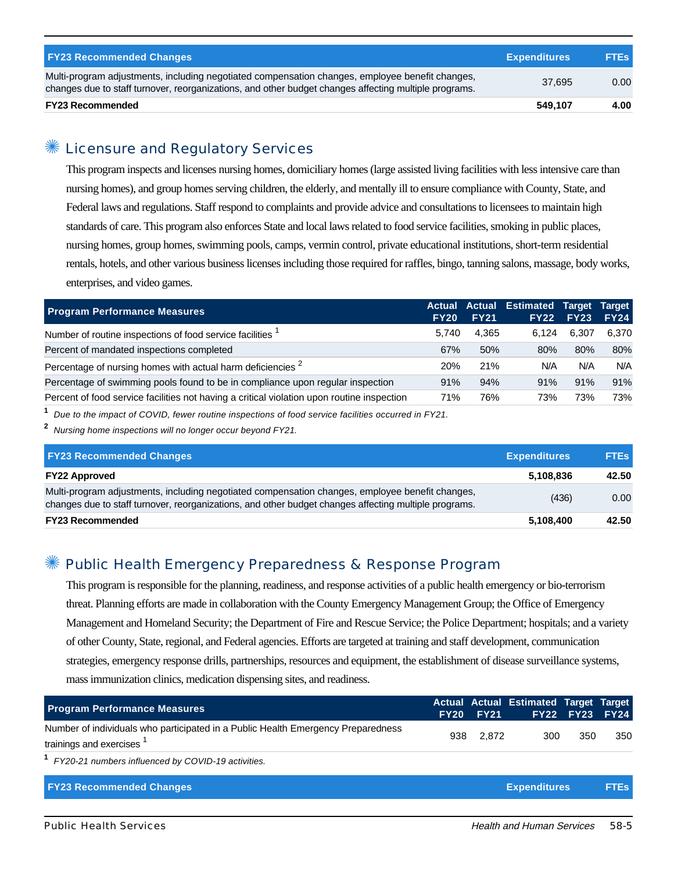| <b>FY23 Recommended Changes</b>                                                                                                                                                                          | <b>Expenditures</b> | <b>FTEs</b> |
|----------------------------------------------------------------------------------------------------------------------------------------------------------------------------------------------------------|---------------------|-------------|
| Multi-program adjustments, including negotiated compensation changes, employee benefit changes,<br>changes due to staff turnover, reorganizations, and other budget changes affecting multiple programs. | 37.695              | 0.00        |
| <b>FY23 Recommended</b>                                                                                                                                                                                  | 549,107             | 4.00        |

#### ✺ Licensure and Regulatory Services

This program inspects and licenses nursing homes, domiciliary homes (large assisted living facilities with less intensive care than nursing homes), and group homes serving children, the elderly, and mentally ill to ensure compliance with County, State, and Federal laws and regulations. Staff respond to complaints and provide advice and consultations to licensees to maintain high standards of care. This program also enforces State and local laws related to food service facilities, smoking in public places, nursing homes, group homes, swimming pools, camps, vermin control, private educational institutions, short-term residential rentals, hotels, and other various business licenses including those required for raffles, bingo, tanning salons, massage, body works, enterprises, and video games.

| <b>Program Performance Measures</b>                                                        | <b>FY20</b> | <b>FY21</b> | Actual Actual Estimated Target Target<br><b>FY22</b> | <b>FY23</b> | <b>FY24</b> |
|--------------------------------------------------------------------------------------------|-------------|-------------|------------------------------------------------------|-------------|-------------|
| Number of routine inspections of food service facilities <sup>1</sup>                      | 5.740       | 4.365       | 6.124                                                | 6.307       | 6.370       |
| Percent of mandated inspections completed                                                  | 67%         | 50%         | 80%                                                  | 80%         | 80%         |
| Percentage of nursing homes with actual harm deficiencies <sup>2</sup>                     | <b>20%</b>  | 21%         | N/A                                                  | N/A         | N/A         |
| Percentage of swimming pools found to be in compliance upon regular inspection             | 91%         | 94%         | 91%                                                  | 91%         | 91%         |
| Percent of food service facilities not having a critical violation upon routine inspection | 71%         | 76%         | 73%                                                  | 73%         | 73%         |

**1** Due to the impact of COVID, fewer routine inspections of food service facilities occurred in FY21.

**2** Nursing home inspections will no longer occur beyond FY21.

| <b>FY23 Recommended Changes</b>                                                                                                                                                                          | <b>Expenditures</b> | <b>FTEs</b> |
|----------------------------------------------------------------------------------------------------------------------------------------------------------------------------------------------------------|---------------------|-------------|
| <b>FY22 Approved</b>                                                                                                                                                                                     | 5,108,836           | 42.50       |
| Multi-program adjustments, including negotiated compensation changes, employee benefit changes,<br>changes due to staff turnover, reorganizations, and other budget changes affecting multiple programs. | (436)               | 0.00        |
| <b>FY23 Recommended</b>                                                                                                                                                                                  | 5,108,400           | 42.50       |

#### Public Health Emergency Preparedness & Response Program

This program is responsible for the planning, readiness, and response activities of a public health emergency or bio-terrorism threat. Planning efforts are made in collaboration with the County Emergency Management Group; the Office of Emergency Management and Homeland Security; the Department of Fire and Rescue Service; the Police Department; hospitals; and a variety of other County, State, regional, and Federal agencies. Efforts are targeted at training and staff development, communication strategies, emergency response drills, partnerships, resources and equipment, the establishment of disease surveillance systems, mass immunization clinics, medication dispensing sites, and readiness.

| <b>Program Performance Measures</b>                                                                                      |     | <b>FY20 FY21</b> | <b>Actual Actual Estimated Target Target</b> | <b>FY22 FY23</b> | <b>FY24</b> |
|--------------------------------------------------------------------------------------------------------------------------|-----|------------------|----------------------------------------------|------------------|-------------|
| Number of individuals who participated in a Public Health Emergency Preparedness<br>trainings and exercises <sup>1</sup> | 938 | 2,872            | 300                                          | 350              | 350         |
| <sup>1</sup> FY20-21 numbers influenced by COVID-19 activities.                                                          |     |                  |                                              |                  |             |
| <b>FY23 Recommended Changes</b>                                                                                          |     |                  | <b>Expenditures</b>                          |                  | <b>FTEs</b> |
|                                                                                                                          |     |                  |                                              |                  |             |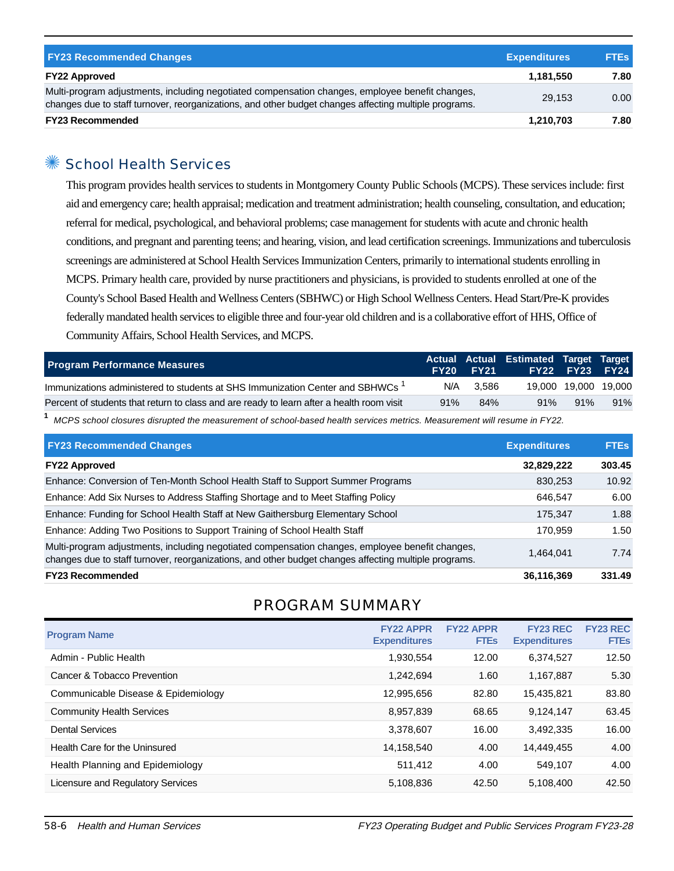| <b>FY23 Recommended Changes</b>                                                                                                                                                                          | <b>Expenditures</b> | <b>FTEs</b> |
|----------------------------------------------------------------------------------------------------------------------------------------------------------------------------------------------------------|---------------------|-------------|
| <b>FY22 Approved</b>                                                                                                                                                                                     | 1.181.550           | 7.80        |
| Multi-program adjustments, including negotiated compensation changes, employee benefit changes,<br>changes due to staff turnover, reorganizations, and other budget changes affecting multiple programs. | 29.153              | 0.00        |
| <b>FY23 Recommended</b>                                                                                                                                                                                  | 1,210,703           | 7.80        |

#### ✺ School Health Services

This program provides health services to students in Montgomery County Public Schools (MCPS). These services include: first aid and emergency care; health appraisal; medication and treatment administration; health counseling, consultation, and education; referral for medical, psychological, and behavioral problems; case management for students with acute and chronic health conditions, and pregnant and parenting teens; and hearing, vision, and lead certification screenings. Immunizations and tuberculosis screenings are administered at School Health Services Immunization Centers, primarily to international students enrolling in MCPS. Primary health care, provided by nurse practitioners and physicians, is provided to students enrolled at one of the County's School Based Health and Wellness Centers (SBHWC) or High School Wellness Centers. Head Start/Pre-K provides federally mandated health services to eligible three and four-year old children and is a collaborative effort of HHS, Office of Community Affairs, School Health Services, and MCPS.

| <b>Program Performance Measures</b>                                                       | <b>FY20</b> | FY21Z | Actual Actual Estimated Target Target | <b>FY22 FY23 FY24</b> |     |
|-------------------------------------------------------------------------------------------|-------------|-------|---------------------------------------|-----------------------|-----|
| Immunizations administered to students at SHS Immunization Center and SBHWCs <sup>1</sup> | N/A         | 3.586 |                                       | 19,000 19,000 19,000  |     |
| Percent of students that return to class and are ready to learn after a health room visit | 91%         | 84%   | 91%                                   | 91%                   | 91% |
|                                                                                           |             |       |                                       |                       |     |

**1** MCPS school closures disrupted the measurement of school-based health services metrics. Measurement will resume in FY22.

| <b>FY23 Recommended Changes</b>                                                                                                                                                                          | <b>Expenditures</b> | <b>FTEs</b> |
|----------------------------------------------------------------------------------------------------------------------------------------------------------------------------------------------------------|---------------------|-------------|
| <b>FY22 Approved</b>                                                                                                                                                                                     | 32,829,222          | 303.45      |
| Enhance: Conversion of Ten-Month School Health Staff to Support Summer Programs                                                                                                                          | 830,253             | 10.92       |
| Enhance: Add Six Nurses to Address Staffing Shortage and to Meet Staffing Policy                                                                                                                         | 646.547             | 6.00        |
| Enhance: Funding for School Health Staff at New Gaithersburg Elementary School                                                                                                                           | 175,347             | 1.88        |
| Enhance: Adding Two Positions to Support Training of School Health Staff                                                                                                                                 | 170.959             | 1.50        |
| Multi-program adjustments, including negotiated compensation changes, employee benefit changes,<br>changes due to staff turnover, reorganizations, and other budget changes affecting multiple programs. | 1,464,041           | 7.74        |
| <b>FY23 Recommended</b>                                                                                                                                                                                  | 36,116,369          | 331.49      |

#### PROGRAM SUMMARY

| <b>Program Name</b>                 | <b>FY22 APPR</b><br><b>Expenditures</b> | <b>FY22 APPR</b><br><b>FTEs</b> | <b>FY23 REC</b><br><b>Expenditures</b> | <b>FY23 REC</b><br><b>FTEs</b> |
|-------------------------------------|-----------------------------------------|---------------------------------|----------------------------------------|--------------------------------|
| Admin - Public Health               | 1,930,554                               | 12.00                           | 6,374,527                              | 12.50                          |
| Cancer & Tobacco Prevention         | 1.242.694                               | 1.60                            | 1,167,887                              | 5.30                           |
| Communicable Disease & Epidemiology | 12,995,656                              | 82.80                           | 15,435,821                             | 83.80                          |
| <b>Community Health Services</b>    | 8,957,839                               | 68.65                           | 9,124,147                              | 63.45                          |
| <b>Dental Services</b>              | 3,378,607                               | 16.00                           | 3,492,335                              | 16.00                          |
| Health Care for the Uninsured       | 14,158,540                              | 4.00                            | 14.449.455                             | 4.00                           |
| Health Planning and Epidemiology    | 511,412                                 | 4.00                            | 549.107                                | 4.00                           |
| Licensure and Regulatory Services   | 5,108,836                               | 42.50                           | 5,108,400                              | 42.50                          |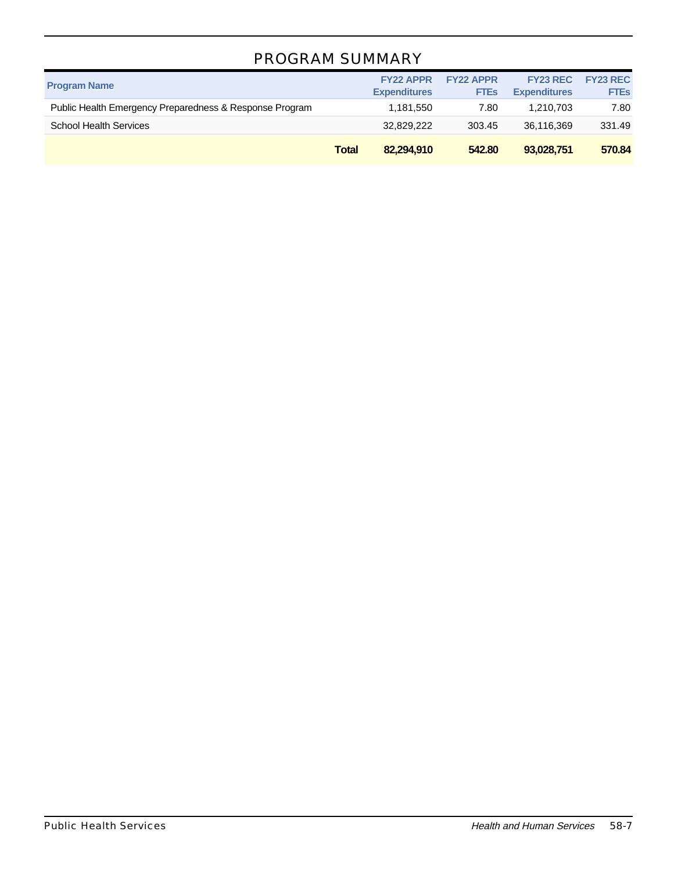### PROGRAM SUMMARY

| <b>Program Name</b>                                     |              | <b>FY22 APPR</b><br><b>Expenditures</b> | <b>FY22 APPR</b><br><b>FTES</b> | <b>FY23 REC</b><br><b>Expenditures</b> | <b>FY23 REC</b><br><b>FTEs</b> |
|---------------------------------------------------------|--------------|-----------------------------------------|---------------------------------|----------------------------------------|--------------------------------|
| Public Health Emergency Preparedness & Response Program |              | 1,181,550                               | 7.80                            | 1.210.703                              | 7.80                           |
| <b>School Health Services</b>                           |              | 32,829,222                              | 303.45                          | 36,116,369                             | 331.49                         |
|                                                         | <b>Total</b> | 82,294,910                              | 542.80                          | 93,028,751                             | 570.84                         |